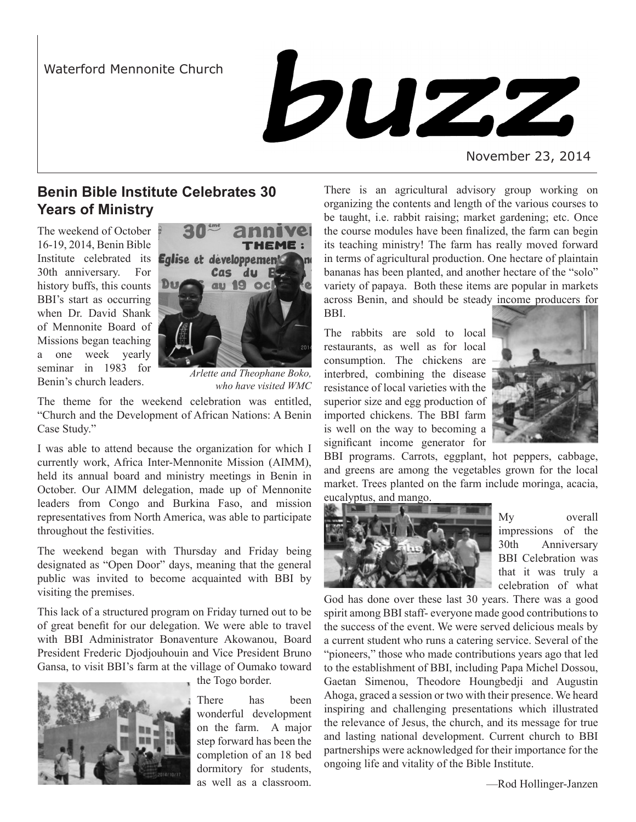

November 23, 2014

# **Benin Bible Institute Celebrates 30 Years of Ministry**

The weekend of October 16-19, 2014, Benin Bible Institute celebrated its 30th anniversary. For history buffs, this counts BBI's start as occurring when Dr. David Shank of Mennonite Board of Missions began teaching a one week yearly seminar in 1983 for Benin's church leaders.



*Arlette and Theophane Boko, who have visited WMC*

The theme for the weekend celebration was entitled, "Church and the Development of African Nations: A Benin Case Study."

I was able to attend because the organization for which I currently work, Africa Inter-Mennonite Mission (AIMM), held its annual board and ministry meetings in Benin in October. Our AIMM delegation, made up of Mennonite leaders from Congo and Burkina Faso, and mission representatives from North America, was able to participate throughout the festivities.

The weekend began with Thursday and Friday being designated as "Open Door" days, meaning that the general public was invited to become acquainted with BBI by visiting the premises.

This lack of a structured program on Friday turned out to be of great benefit for our delegation. We were able to travel with BBI Administrator Bonaventure Akowanou, Board President Frederic Djodjouhouin and Vice President Bruno Gansa, to visit BBI's farm at the village of Oumako toward



the Togo border.

There has been wonderful development on the farm. A major step forward has been the completion of an 18 bed dormitory for students, as well as a classroom.

There is an agricultural advisory group working on organizing the contents and length of the various courses to be taught, i.e. rabbit raising; market gardening; etc. Once the course modules have been finalized, the farm can begin its teaching ministry! The farm has really moved forward in terms of agricultural production. One hectare of plaintain bananas has been planted, and another hectare of the "solo" variety of papaya. Both these items are popular in markets across Benin, and should be steady income producers for BBI.

The rabbits are sold to local restaurants, as well as for local consumption. The chickens are interbred, combining the disease resistance of local varieties with the superior size and egg production of imported chickens. The BBI farm is well on the way to becoming a significant income generator for



BBI programs. Carrots, eggplant, hot peppers, cabbage, and greens are among the vegetables grown for the local market. Trees planted on the farm include moringa, acacia,

eucalyptus, and mango.



My overall impressions of the 30th Anniversary BBI Celebration was that it was truly a celebration of what

God has done over these last 30 years. There was a good spirit among BBI staff- everyone made good contributions to the success of the event. We were served delicious meals by a current student who runs a catering service. Several of the "pioneers," those who made contributions years ago that led to the establishment of BBI, including Papa Michel Dossou, Gaetan Simenou, Theodore Houngbedji and Augustin Ahoga, graced a session or two with their presence. We heard inspiring and challenging presentations which illustrated the relevance of Jesus, the church, and its message for true and lasting national development. Current church to BBI partnerships were acknowledged for their importance for the ongoing life and vitality of the Bible Institute.